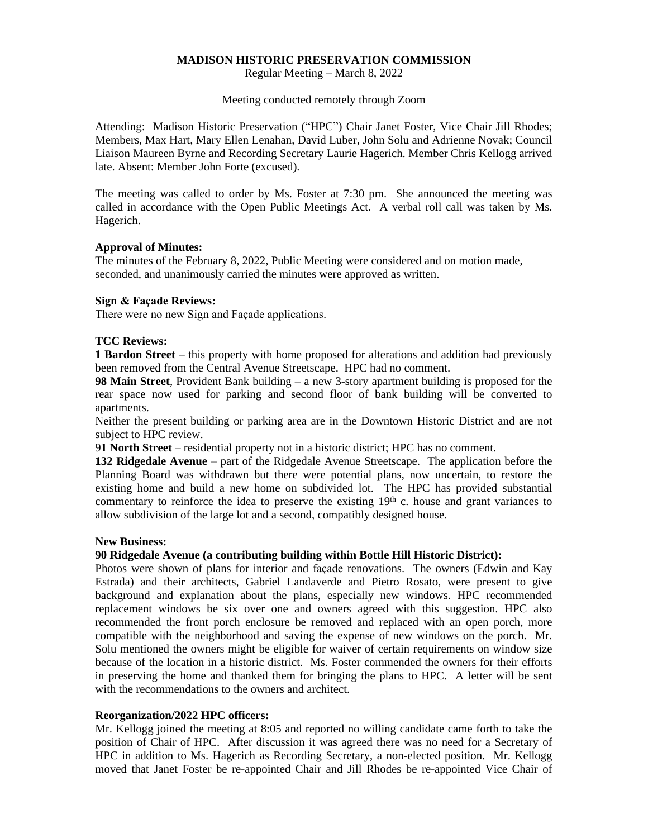#### **MADISON HISTORIC PRESERVATION COMMISSION**

Regular Meeting – March 8, 2022

Meeting conducted remotely through Zoom

Attending: Madison Historic Preservation ("HPC") Chair Janet Foster, Vice Chair Jill Rhodes; Members, Max Hart, Mary Ellen Lenahan, David Luber, John Solu and Adrienne Novak; Council Liaison Maureen Byrne and Recording Secretary Laurie Hagerich. Member Chris Kellogg arrived late. Absent: Member John Forte (excused).

The meeting was called to order by Ms. Foster at 7:30 pm. She announced the meeting was called in accordance with the Open Public Meetings Act. A verbal roll call was taken by Ms. Hagerich.

### **Approval of Minutes:**

The minutes of the February 8, 2022, Public Meeting were considered and on motion made, seconded, and unanimously carried the minutes were approved as written.

### **Sign & Façade Reviews:**

There were no new Sign and Façade applications.

### **TCC Reviews:**

**1 Bardon Street** – this property with home proposed for alterations and addition had previously been removed from the Central Avenue Streetscape. HPC had no comment.

**98 Main Street**, Provident Bank building – a new 3-story apartment building is proposed for the rear space now used for parking and second floor of bank building will be converted to apartments.

Neither the present building or parking area are in the Downtown Historic District and are not subject to HPC review.

9**1 North Street** – residential property not in a historic district; HPC has no comment.

**132 Ridgedale Avenue** – part of the Ridgedale Avenue Streetscape. The application before the Planning Board was withdrawn but there were potential plans, now uncertain, to restore the existing home and build a new home on subdivided lot. The HPC has provided substantial commentary to reinforce the idea to preserve the existing  $19<sup>th</sup>$  c. house and grant variances to allow subdivision of the large lot and a second, compatibly designed house.

#### **New Business:**

# **90 Ridgedale Avenue (a contributing building within Bottle Hill Historic District):**

Photos were shown of plans for interior and façade renovations. The owners (Edwin and Kay Estrada) and their architects, Gabriel Landaverde and Pietro Rosato, were present to give background and explanation about the plans, especially new windows. HPC recommended replacement windows be six over one and owners agreed with this suggestion. HPC also recommended the front porch enclosure be removed and replaced with an open porch, more compatible with the neighborhood and saving the expense of new windows on the porch. Mr. Solu mentioned the owners might be eligible for waiver of certain requirements on window size because of the location in a historic district. Ms. Foster commended the owners for their efforts in preserving the home and thanked them for bringing the plans to HPC. A letter will be sent with the recommendations to the owners and architect.

#### **Reorganization/2022 HPC officers:**

Mr. Kellogg joined the meeting at 8:05 and reported no willing candidate came forth to take the position of Chair of HPC. After discussion it was agreed there was no need for a Secretary of HPC in addition to Ms. Hagerich as Recording Secretary, a non-elected position. Mr. Kellogg moved that Janet Foster be re-appointed Chair and Jill Rhodes be re-appointed Vice Chair of